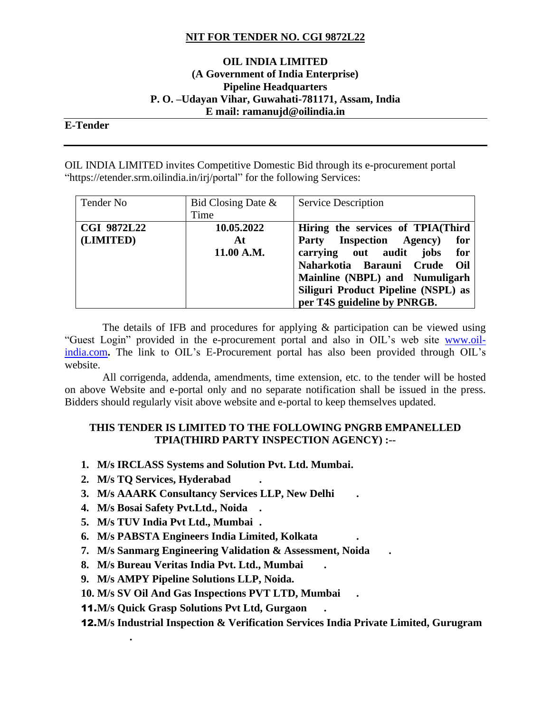## **NIT FOR TENDER NO. CGI 9872L22**

#### **OIL INDIA LIMITED (A Government of India Enterprise) Pipeline Headquarters P. O. –Udayan Vihar, Guwahati-781171, Assam, India E mail: ramanujd@oilindia.in**

#### **E-Tender**

OIL INDIA LIMITED invites Competitive Domestic Bid through its e-procurement portal "https://etender.srm.oilindia.in/irj/portal" for the following Services:

| Tender No                       | Bid Closing Date $\&$<br>Time  | <b>Service Description</b>                                                                                                                                                                                                                        |
|---------------------------------|--------------------------------|---------------------------------------------------------------------------------------------------------------------------------------------------------------------------------------------------------------------------------------------------|
| <b>CGI 9872L22</b><br>(LIMITED) | 10.05.2022<br>At<br>11.00 A.M. | Hiring the services of TPIA(Third<br>Party Inspection Agency)<br>for<br>carrying out audit<br>jobs<br>for<br>Naharkotia Barauni Crude Oil<br>Mainline (NBPL) and Numuligarh<br>Siliguri Product Pipeline (NSPL) as<br>per T4S guideline by PNRGB. |

 The details of IFB and procedures for applying & participation can be viewed using "Guest Login" provided in the e-procurement portal and also in OIL's web site [www.oil](http://www.oil-india.com/)[india.com](http://www.oil-india.com/). The link to OIL's E-Procurement portal has also been provided through OIL's website.

 All corrigenda, addenda, amendments, time extension, etc. to the tender will be hosted on above Website and e-portal only and no separate notification shall be issued in the press. Bidders should regularly visit above website and e-portal to keep themselves updated.

#### **THIS TENDER IS LIMITED TO THE FOLLOWING PNGRB EMPANELLED TPIA(THIRD PARTY INSPECTION AGENCY) :--**

- **1. M/s IRCLASS Systems and Solution Pvt. Ltd. Mumbai.**
- **2. M/s TQ Services, Hyderabad .**

**.**

- **3. M/s AAARK Consultancy Services LLP, New Delhi .**
- **4. M/s Bosai Safety Pvt.Ltd., Noida .**
- **5. M/s TUV India Pvt Ltd., Mumbai .**
- **6. M/s PABSTA Engineers India Limited, Kolkata .**
- **7. M/s Sanmarg Engineering Validation & Assessment, Noida .**
- **8. M/s Bureau Veritas India Pvt. Ltd., Mumbai .**
- **9. M/s AMPY Pipeline Solutions LLP, Noida.**
- **10. M/s SV Oil And Gas Inspections PVT LTD, Mumbai .**
- 11.**M/s Quick Grasp Solutions Pvt Ltd, Gurgaon .**

12.**M/s Industrial Inspection & Verification Services India Private Limited, Gurugram**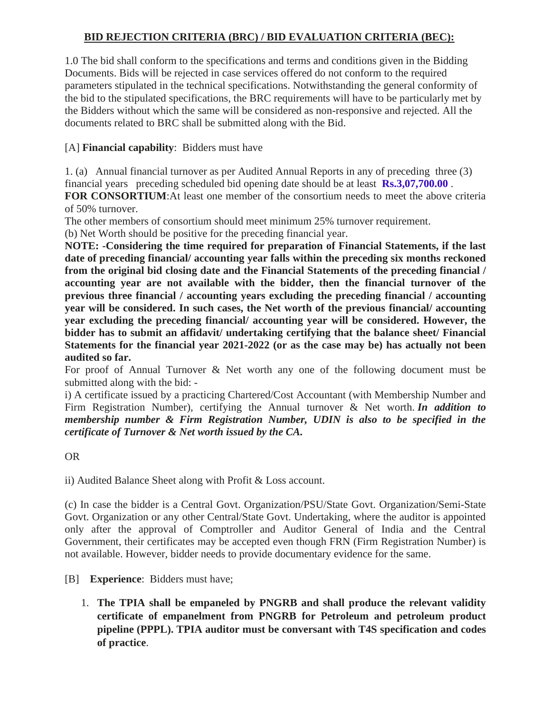# **BID REJECTION CRITERIA (BRC) / BID EVALUATION CRITERIA (BEC):**

1.0 The bid shall conform to the specifications and terms and conditions given in the Bidding Documents. Bids will be rejected in case services offered do not conform to the required parameters stipulated in the technical specifications. Notwithstanding the general conformity of the bid to the stipulated specifications, the BRC requirements will have to be particularly met by the Bidders without which the same will be considered as non-responsive and rejected. All the documents related to BRC shall be submitted along with the Bid.

## [A] **Financial capability**: Bidders must have

1. (a) Annual financial turnover as per Audited Annual Reports in any of preceding three (3) financial years preceding scheduled bid opening date should be at least **Rs.3,07,700.00** .

**FOR CONSORTIUM**:At least one member of the consortium needs to meet the above criteria of 50% turnover.

The other members of consortium should meet minimum 25% turnover requirement.

(b) Net Worth should be positive for the preceding financial year.

**NOTE: -Considering the time required for preparation of Financial Statements, if the last date of preceding financial/ accounting year falls within the preceding six months reckoned from the original bid closing date and the Financial Statements of the preceding financial / accounting year are not available with the bidder, then the financial turnover of the previous three financial / accounting years excluding the preceding financial / accounting year will be considered. In such cases, the Net worth of the previous financial/ accounting year excluding the preceding financial/ accounting year will be considered. However, the bidder has to submit an affidavit/ undertaking certifying that the balance sheet/ Financial Statements for the financial year 2021-2022 (or as the case may be) has actually not been audited so far.**

For proof of Annual Turnover & Net worth any one of the following document must be submitted along with the bid: -

i) A certificate issued by a practicing Chartered/Cost Accountant (with Membership Number and Firm Registration Number), certifying the Annual turnover & Net worth. *In addition to membership number & Firm Registration Number, UDIN is also to be specified in the certificate of Turnover & Net worth issued by the CA.*

## OR

ii) Audited Balance Sheet along with Profit & Loss account.

(c) In case the bidder is a Central Govt. Organization/PSU/State Govt. Organization/Semi-State Govt. Organization or any other Central/State Govt. Undertaking, where the auditor is appointed only after the approval of Comptroller and Auditor General of India and the Central Government, their certificates may be accepted even though FRN (Firm Registration Number) is not available. However, bidder needs to provide documentary evidence for the same.

[B] **Experience**: Bidders must have;

1. **The TPIA shall be empaneled by PNGRB and shall produce the relevant validity certificate of empanelment from PNGRB for Petroleum and petroleum product pipeline (PPPL). TPIA auditor must be conversant with T4S specification and codes of practice**.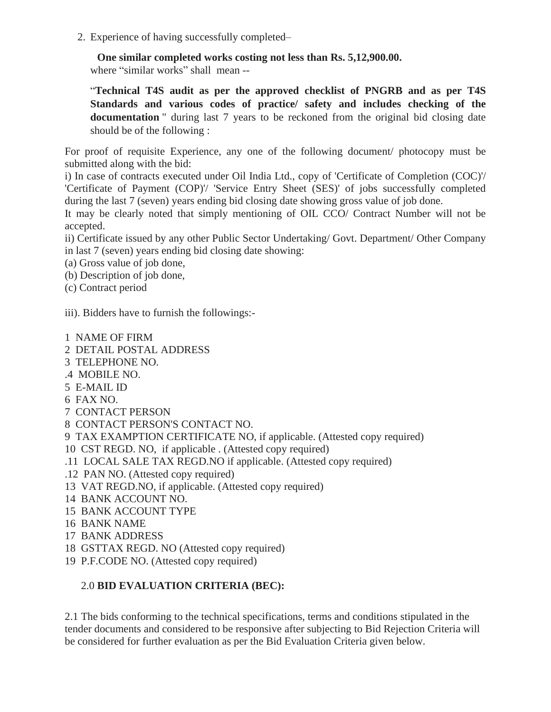2. Experience of having successfully completed–

 **One similar completed works costing not less than Rs. 5,12,900.00.**

where "similar works" shall mean --

"**Technical T4S audit as per the approved checklist of PNGRB and as per T4S Standards and various codes of practice/ safety and includes checking of the documentation** " during last 7 years to be reckoned from the original bid closing date should be of the following :

For proof of requisite Experience, any one of the following document/ photocopy must be submitted along with the bid:

i) In case of contracts executed under Oil India Ltd., copy of 'Certificate of Completion (COC)'/ 'Certificate of Payment (COP)'/ 'Service Entry Sheet (SES)' of jobs successfully completed during the last 7 (seven) years ending bid closing date showing gross value of job done.

It may be clearly noted that simply mentioning of OIL CCO/ Contract Number will not be accepted.

ii) Certificate issued by any other Public Sector Undertaking/ Govt. Department/ Other Company in last 7 (seven) years ending bid closing date showing:

- (a) Gross value of job done,
- (b) Description of job done,
- (c) Contract period

iii). Bidders have to furnish the followings:-

- 1 NAME OF FIRM
- 2 DETAIL POSTAL ADDRESS
- 3 TELEPHONE NO.
- .4 MOBILE NO.
- 5 E-MAIL ID
- 6 FAX NO.
- 7 CONTACT PERSON
- 8 CONTACT PERSON'S CONTACT NO.
- 9 TAX EXAMPTION CERTIFICATE NO, if applicable. (Attested copy required)
- 10 CST REGD. NO, if applicable . (Attested copy required)
- .11 LOCAL SALE TAX REGD.NO if applicable. (Attested copy required)
- .12 PAN NO. (Attested copy required)
- 13 VAT REGD.NO, if applicable. (Attested copy required)
- 14 BANK ACCOUNT NO.
- 15 BANK ACCOUNT TYPE
- 16 BANK NAME
- 17 BANK ADDRESS
- 18 GSTTAX REGD. NO (Attested copy required)
- 19 P.F.CODE NO. (Attested copy required)

# 2.0 **BID EVALUATION CRITERIA (BEC):**

2.1 The bids conforming to the technical specifications, terms and conditions stipulated in the tender documents and considered to be responsive after subjecting to Bid Rejection Criteria will be considered for further evaluation as per the Bid Evaluation Criteria given below.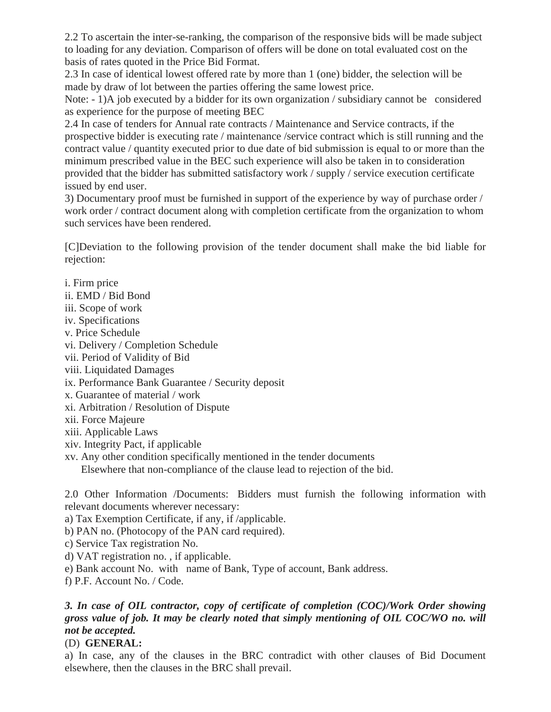2.2 To ascertain the inter-se-ranking, the comparison of the responsive bids will be made subject to loading for any deviation. Comparison of offers will be done on total evaluated cost on the basis of rates quoted in the Price Bid Format.

2.3 In case of identical lowest offered rate by more than 1 (one) bidder, the selection will be made by draw of lot between the parties offering the same lowest price.

Note: - 1)A job executed by a bidder for its own organization / subsidiary cannot be considered as experience for the purpose of meeting BEC

2.4 In case of tenders for Annual rate contracts / Maintenance and Service contracts, if the prospective bidder is executing rate / maintenance /service contract which is still running and the contract value / quantity executed prior to due date of bid submission is equal to or more than the minimum prescribed value in the BEC such experience will also be taken in to consideration provided that the bidder has submitted satisfactory work / supply / service execution certificate issued by end user.

3) Documentary proof must be furnished in support of the experience by way of purchase order / work order / contract document along with completion certificate from the organization to whom such services have been rendered.

[C]Deviation to the following provision of the tender document shall make the bid liable for rejection:

- i. Firm price ii. EMD / Bid Bond iii. Scope of work iv. Specifications v. Price Schedule vi. Delivery / Completion Schedule vii. Period of Validity of Bid viii. Liquidated Damages ix. Performance Bank Guarantee / Security deposit x. Guarantee of material / work
- xi. Arbitration / Resolution of Dispute
- xii. Force Majeure
- xiii. Applicable Laws
- xiv. Integrity Pact, if applicable
- xv. Any other condition specifically mentioned in the tender documents

Elsewhere that non-compliance of the clause lead to rejection of the bid.

2.0 Other Information /Documents: Bidders must furnish the following information with relevant documents wherever necessary:

- a) Tax Exemption Certificate, if any, if /applicable.
- b) PAN no. (Photocopy of the PAN card required).
- c) Service Tax registration No.
- d) VAT registration no. , if applicable.
- e) Bank account No. with name of Bank, Type of account, Bank address.
- f) P.F. Account No. / Code.

## *3. In case of OIL contractor, copy of certificate of completion (COC)/Work Order showing gross value of job. It may be clearly noted that simply mentioning of OIL COC/WO no. will not be accepted.*

# (D) **GENERAL:**

a) In case, any of the clauses in the BRC contradict with other clauses of Bid Document elsewhere, then the clauses in the BRC shall prevail.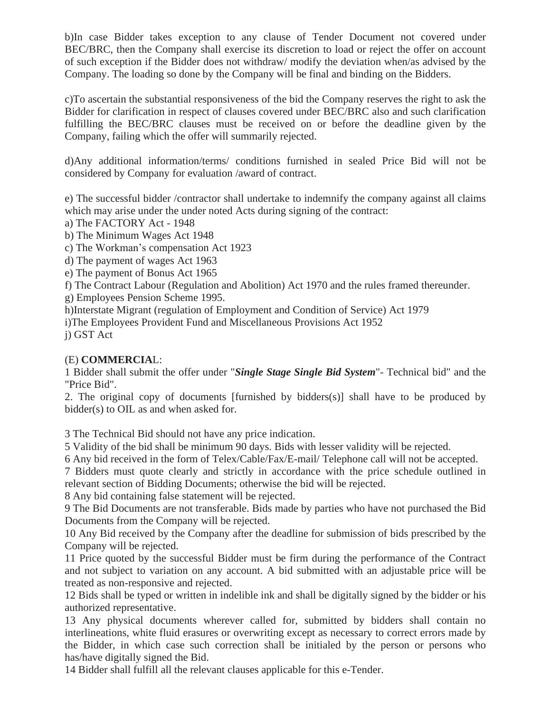b)In case Bidder takes exception to any clause of Tender Document not covered under BEC/BRC, then the Company shall exercise its discretion to load or reject the offer on account of such exception if the Bidder does not withdraw/ modify the deviation when/as advised by the Company. The loading so done by the Company will be final and binding on the Bidders.

c)To ascertain the substantial responsiveness of the bid the Company reserves the right to ask the Bidder for clarification in respect of clauses covered under BEC/BRC also and such clarification fulfilling the BEC/BRC clauses must be received on or before the deadline given by the Company, failing which the offer will summarily rejected.

d)Any additional information/terms/ conditions furnished in sealed Price Bid will not be considered by Company for evaluation /award of contract.

e) The successful bidder /contractor shall undertake to indemnify the company against all claims which may arise under the under noted Acts during signing of the contract:

- a) The FACTORY Act 1948
- b) The Minimum Wages Act 1948
- c) The Workman's compensation Act 1923
- d) The payment of wages Act 1963
- e) The payment of Bonus Act 1965
- f) The Contract Labour (Regulation and Abolition) Act 1970 and the rules framed thereunder.
- g) Employees Pension Scheme 1995.
- h)Interstate Migrant (regulation of Employment and Condition of Service) Act 1979
- i)The Employees Provident Fund and Miscellaneous Provisions Act 1952
- j) GST Act

## (E) **COMMERCIA**L:

1 Bidder shall submit the offer under "*Single Stage Single Bid System*"- Technical bid" and the "Price Bid".

2. The original copy of documents [furnished by bidders(s)] shall have to be produced by bidder(s) to OIL as and when asked for.

3 The Technical Bid should not have any price indication.

5 Validity of the bid shall be minimum 90 days. Bids with lesser validity will be rejected.

6 Any bid received in the form of Telex/Cable/Fax/E-mail/ Telephone call will not be accepted.

7 Bidders must quote clearly and strictly in accordance with the price schedule outlined in relevant section of Bidding Documents; otherwise the bid will be rejected.

8 Any bid containing false statement will be rejected.

9 The Bid Documents are not transferable. Bids made by parties who have not purchased the Bid Documents from the Company will be rejected.

10 Any Bid received by the Company after the deadline for submission of bids prescribed by the Company will be rejected.

11 Price quoted by the successful Bidder must be firm during the performance of the Contract and not subject to variation on any account. A bid submitted with an adjustable price will be treated as non-responsive and rejected.

12 Bids shall be typed or written in indelible ink and shall be digitally signed by the bidder or his authorized representative.

13 Any physical documents wherever called for, submitted by bidders shall contain no interlineations, white fluid erasures or overwriting except as necessary to correct errors made by the Bidder, in which case such correction shall be initialed by the person or persons who has/have digitally signed the Bid.

14 Bidder shall fulfill all the relevant clauses applicable for this e-Tender.